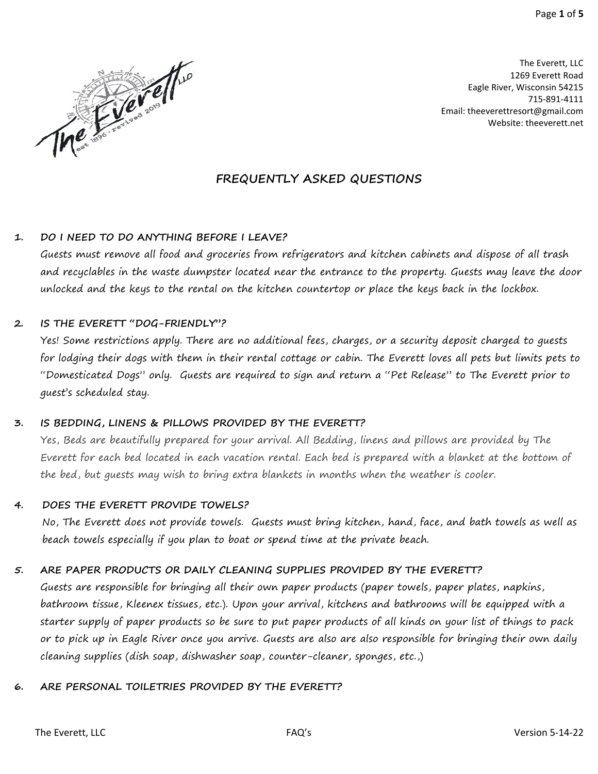

The Everett, LLC 1269 Everett Road Eagle River, Wisconsin 54215 715-891-4111 Email: [theeverettresort@gmail.com](mailto:theeverettresort@gmail.com) Website: theeverett.net

# **FREQUENTLY ASKED QUESTIONS**

#### **1. DO I NEED TO DO ANYTHING BEFORE I LEAVE?**

Guests must remove all food and groceries from refrigerators and kitchen cabinets and dispose of all trash and recyclables in the waste dumpster located near the entrance to the property. Guests may leave the door unlocked and the keys to the rental on the kitchen countertop or place the keys back in the lockbox.

#### **2. IS THE EVERETT "DOG-FRIENDLY"?**

Yes! Some restrictions apply. There are no additional fees, charges, or a security deposit charged to guests for lodging their dogs with them in their rental cottage or cabin. The Everett loves all pets but limits pets to "Domesticated Dogs" only. Guests are required to sign and return a "Pet Release" to The Everett prior to guest's scheduled stay.

#### **3. IS BEDDING, LINENS & PILLOWS PROVIDED BY THE EVERETT?**

Yes, Beds are beautifully prepared for your arrival. All Bedding, linens and pillows are provided by The Everett for each bed located in each vacation rental. Each bed is prepared with a blanket at the bottom of the bed, but guests may wish to bring extra blankets in months when the weather is cooler.

#### **4. DOES THE EVERETT PROVIDE TOWELS?**

No, The Everett does not provide towels. Guests must bring kitchen, hand, face, and bath towels as well as beach towels especially if you plan to boat or spend time at the private beach.

#### **5. ARE PAPER PRODUCTS OR DAILY CLEANING SUPPLIES PROVIDED BY THE EVERETT?**

Guests are responsible for bringing all their own paper products (paper towels, paper plates, napkins, bathroom tissue, Kleenex tissues, etc.). Upon your arrival, kitchens and bathrooms will be equipped with a starter supply of paper products so be sure to put paper products of all kinds on your list of things to pack or to pick up in Eagle River once you arrive. Guests are also are also responsible for bringing their own daily cleaning supplies (dish soap, dishwasher soap, counter-cleaner, sponges, etc.,)

# **6. ARE PERSONAL TOILETRIES PROVIDED BY THE EVERETT?**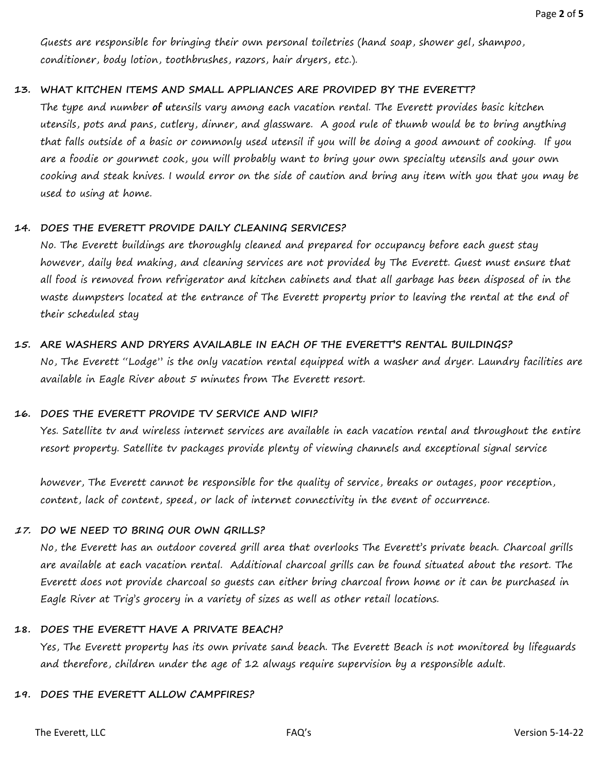Guests are responsible for bringing their own personal toiletries (hand soap, shower gel, shampoo, conditioner, body lotion, toothbrushes, razors, hair dryers, etc.).

#### **13. WHAT KITCHEN ITEMS AND SMALL APPLIANCES ARE PROVIDED BY THE EVERETT?**

The type and number **of u**tensils vary among each vacation rental. The Everett provides basic kitchen utensils, pots and pans, cutlery, dinner, and glassware. A good rule of thumb would be to bring anything that falls outside of a basic or commonly used utensil if you will be doing a good amount of cooking. If you are a foodie or gourmet cook, you will probably want to bring your own specialty utensils and your own cooking and steak knives. I would error on the side of caution and bring any item with you that you may be used to using at home.

#### **14. DOES THE EVERETT PROVIDE DAILY CLEANING SERVICES?**

No. The Everett buildings are thoroughly cleaned and prepared for occupancy before each guest stay however, daily bed making, and cleaning services are not provided by The Everett. Guest must ensure that all food is removed from refrigerator and kitchen cabinets and that all garbage has been disposed of in the waste dumpsters located at the entrance of The Everett property prior to leaving the rental at the end of their scheduled stay

#### **15. ARE WASHERS AND DRYERS AVAILABLE IN EACH OF THE EVERETT'S RENTAL BUILDINGS?**

No, The Everett "Lodge" is the only vacation rental equipped with a washer and dryer. Laundry facilities are available in Eagle River about 5 minutes from The Everett resort.

#### **16. DOES THE EVERETT PROVIDE TV SERVICE AND WIFI?**

Yes. Satellite tv and wireless internet services are available in each vacation rental and throughout the entire resort property. Satellite tv packages provide plenty of viewing channels and exceptional signal service

however, The Everett cannot be responsible for the quality of service, breaks or outages, poor reception, content, lack of content, speed, or lack of internet connectivity in the event of occurrence.

#### **17. DO WE NEED TO BRING OUR OWN GRILLS?**

No, the Everett has an outdoor covered grill area that overlooks The Everett's private beach. Charcoal grills are available at each vacation rental. Additional charcoal grills can be found situated about the resort. The Everett does not provide charcoal so guests can either bring charcoal from home or it can be purchased in Eagle River at Trig's grocery in a variety of sizes as well as other retail locations.

#### **18. DOES THE EVERETT HAVE A PRIVATE BEACH?**

Yes, The Everett property has its own private sand beach. The Everett Beach is not monitored by lifeguards and therefore, children under the age of 12 always require supervision by a responsible adult.

#### **19. DOES THE EVERETT ALLOW CAMPFIRES?**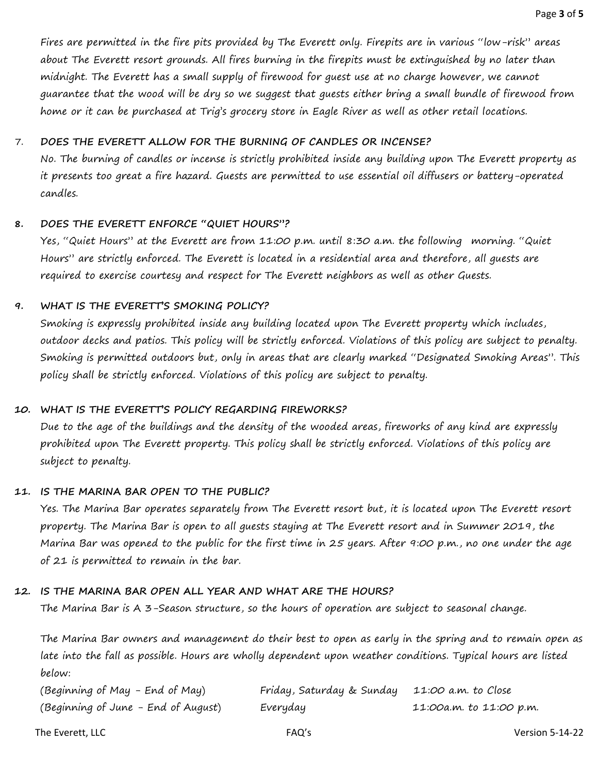Fires are permitted in the fire pits provided by The Everett only. Firepits are in various "low-risk" areas about The Everett resort grounds. All fires burning in the firepits must be extinguished by no later than midnight. The Everett has a small supply of firewood for guest use at no charge however, we cannot guarantee that the wood will be dry so we suggest that guests either bring a small bundle of firewood from home or it can be purchased at Trig's grocery store in Eagle River as well as other retail locations.

#### 7. **DOES THE EVERETT ALLOW FOR THE BURNING OF CANDLES OR INCENSE?**

No. The burning of candles or incense is strictly prohibited inside any building upon The Everett property as it presents too great a fire hazard. Guests are permitted to use essential oil diffusers or battery-operated candles.

#### **8. DOES THE EVERETT ENFORCE "QUIET HOURS"?**

Yes, "Quiet Hours" at the Everett are from 11:00 p.m. until 8:30 a.m. the following morning. "Quiet Hours" are strictly enforced. The Everett is located in a residential area and therefore, all guests are required to exercise courtesy and respect for The Everett neighbors as well as other Guests.

## **9. WHAT IS THE EVERETT'S SMOKING POLICY?**

Smoking is expressly prohibited inside any building located upon The Everett property which includes, outdoor decks and patios. This policy will be strictly enforced. Violations of this policy are subject to penalty. Smoking is permitted outdoors but, only in areas that are clearly marked "Designated Smoking Areas". This policy shall be strictly enforced. Violations of this policy are subject to penalty.

## **10. WHAT IS THE EVERETT'S POLICY REGARDING FIREWORKS?**

Due to the age of the buildings and the density of the wooded areas, fireworks of any kind are expressly prohibited upon The Everett property. This policy shall be strictly enforced. Violations of this policy are subject to penalty.

#### **11. IS THE MARINA BAR OPEN TO THE PUBLIC?**

Yes. The Marina Bar operates separately from The Everett resort but, it is located upon The Everett resort property. The Marina Bar is open to all guests staying at The Everett resort and in Summer 2019, the Marina Bar was opened to the public for the first time in 25 years. After 9:00 p.m., no one under the age of 21 is permitted to remain in the bar.

# **12. IS THE MARINA BAR OPEN ALL YEAR AND WHAT ARE THE HOURS?**

The Marina Bar is A 3-Season structure, so the hours of operation are subject to seasonal change.

The Marina Bar owners and management do their best to open as early in the spring and to remain open as late into the fall as possible. Hours are wholly dependent upon weather conditions. Typical hours are listed below:

| (Beginning of May - End of May)     | Friday, Saturday & Sunday 11:00 a.m. to Close |                         |
|-------------------------------------|-----------------------------------------------|-------------------------|
| (Beginning of June - End of August) | Everyday                                      | 11:00a.m. to 11:00 p.m. |

The Everett, LLC and the Community of the FAQ's controlled the Community of the Version 5-14-22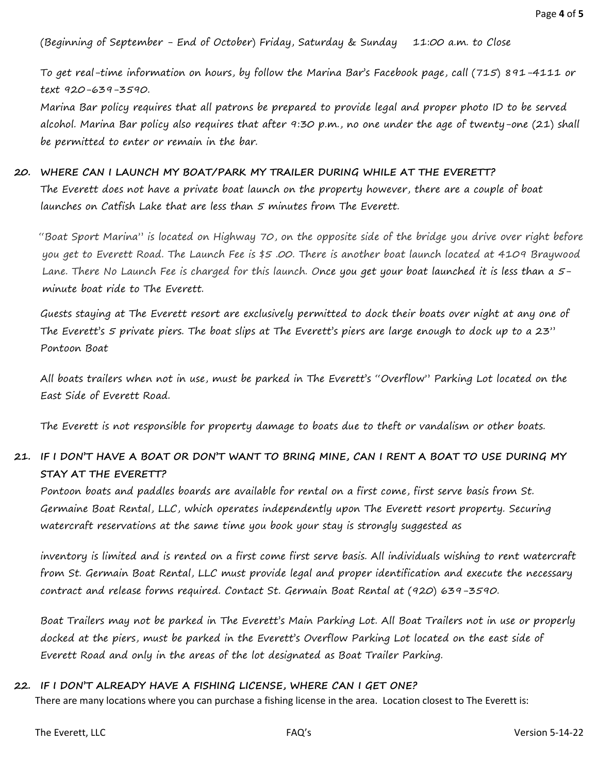(Beginning of September - End of October) Friday, Saturday & Sunday 11:00 a.m. to Close

To get real-time information on hours, by follow the Marina Bar's Facebook page, call (715) 891-4111 or text 920-639-3590.

Marina Bar policy requires that all patrons be prepared to provide legal and proper photo ID to be served alcohol. Marina Bar policy also requires that after 9:30 p.m., no one under the age of twenty-one (21) shall be permitted to enter or remain in the bar.

#### **20. WHERE CAN I LAUNCH MY BOAT/PARK MY TRAILER DURING WHILE AT THE EVERETT?**

The Everett does not have a private boat launch on the property however, there are a couple of boat launches on Catfish Lake that are less than 5 minutes from The Everett.

"Boat Sport Marina" is located on Highway 70, on the opposite side of the bridge you drive over right before you get to Everett Road. The Launch Fee is \$5 .00. There is another boat launch located at 4109 Braywood Lane. There No Launch Fee is charged for this launch. Once you get your boat launched it is less than a 5 minute boat ride to The Everett.

Guests staying at The Everett resort are exclusively permitted to dock their boats over night at any one of The Everett's 5 private piers. The boat slips at The Everett's piers are large enough to dock up to a 23" Pontoon Boat

All boats trailers when not in use, must be parked in The Everett's "Overflow" Parking Lot located on the East Side of Everett Road.

The Everett is not responsible for property damage to boats due to theft or vandalism or other boats.

## **21. IF I DON'T HAVE A BOAT OR DON'T WANT TO BRING MINE, CAN I RENT A BOAT TO USE DURING MY STAY AT THE EVERETT?**

Pontoon boats and paddles boards are available for rental on a first come, first serve basis from St. Germaine Boat Rental, LLC, which operates independently upon The Everett resort property. Securing watercraft reservations at the same time you book your stay is strongly suggested as

inventory is limited and is rented on a first come first serve basis. All individuals wishing to rent watercraft from St. Germain Boat Rental, LLC must provide legal and proper identification and execute the necessary contract and release forms required. Contact St. Germain Boat Rental at (920) 639-3590.

Boat Trailers may not be parked in The Everett's Main Parking Lot. All Boat Trailers not in use or properly docked at the piers, must be parked in the Everett's Overflow Parking Lot located on the east side of Everett Road and only in the areas of the lot designated as Boat Trailer Parking.

#### **22. IF I DON'T ALREADY HAVE A FISHING LICENSE, WHERE CAN I GET ONE?**

There are many locations where you can purchase a fishing license in the area. Location closest to The Everett is: